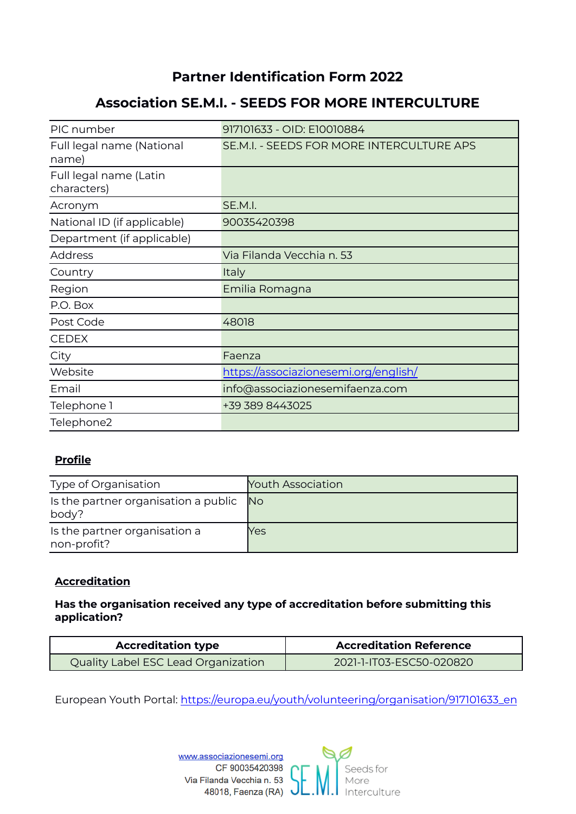# **Partner Identification Form 2022**

## **Association SE.M.I. - SEEDS FOR MORE INTERCULTURE**

| PIC number                            | 917101633 - OID: E10010884                |
|---------------------------------------|-------------------------------------------|
| Full legal name (National<br>name)    | SE.M.I. - SEEDS FOR MORE INTERCULTURE APS |
| Full legal name (Latin<br>characters) |                                           |
| Acronym                               | SE.M.I.                                   |
| National ID (if applicable)           | 90035420398                               |
| Department (if applicable)            |                                           |
| <b>Address</b>                        | Via Filanda Vecchia n. 53                 |
| Country                               | Italy                                     |
| Region                                | Emilia Romagna                            |
| P.O. Box                              |                                           |
| Post Code                             | 48018                                     |
| <b>CEDEX</b>                          |                                           |
| City                                  | Faenza                                    |
| Website                               | https://associazionesemi.org/english/     |
| Email                                 | info@associazionesemifaenza.com           |
| Telephone 1                           | +39 389 8443025                           |
| Telephone2                            |                                           |

## **Profile**

| Type of Organisation                          | <b>Youth Association</b> |
|-----------------------------------------------|--------------------------|
| Is the partner organisation a public<br>body? | No.                      |
| Is the partner organisation a<br>non-profit?  | Yes                      |

## **Accreditation**

## **Has the organisation received any type of accreditation before submitting this application?**

| <b>Accreditation type</b>           | <b>Accreditation Reference</b> |  |
|-------------------------------------|--------------------------------|--|
| Quality Label ESC Lead Organization | 2021-1-IT03-ESC50-020820       |  |

European Youth Portal: [https://europa.eu/youth/volunteering/organisation/917101633\\_en](https://europa.eu/youth/volunteering/organisation/917101633_en)

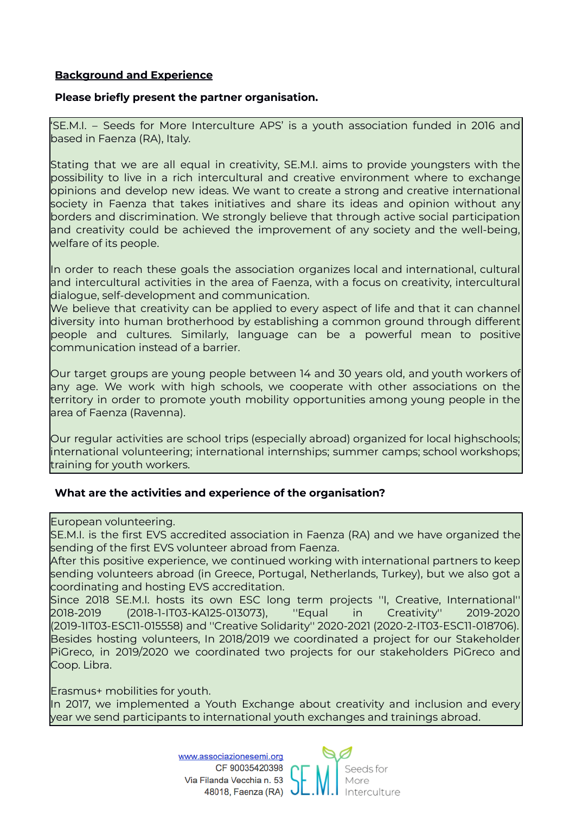### **Background and Experience**

#### **Please briefly present the partner organisation.**

'SE.M.I. – Seeds for More Interculture APS' is a youth association funded in 2016 and based in Faenza (RA), Italy.

Stating that we are all equal in creativity, SE.M.I. aims to provide youngsters with the possibility to live in a rich intercultural and creative environment where to exchange opinions and develop new ideas. We want to create a strong and creative international society in Faenza that takes initiatives and share its ideas and opinion without any borders and discrimination. We strongly believe that through active social participation and creativity could be achieved the improvement of any society and the well-being, welfare of its people.

In order to reach these goals the association organizes local and international, cultural and intercultural activities in the area of Faenza, with a focus on creativity, intercultural dialogue, self-development and communication.

We believe that creativity can be applied to every aspect of life and that it can channel diversity into human brotherhood by establishing a common ground through different people and cultures. Similarly, language can be a powerful mean to positive communication instead of a barrier.

Our target groups are young people between 14 and 30 years old, and youth workers of any age. We work with high schools, we cooperate with other associations on the territory in order to promote youth mobility opportunities among young people in the area of Faenza (Ravenna).

Our regular activities are school trips (especially abroad) organized for local highschools; international volunteering; international internships; summer camps; school workshops; training for youth workers.

#### **What are the activities and experience of the organisation?**

European volunteering.

SE.M.I. is the first EVS accredited association in Faenza (RA) and we have organized the sending of the first EVS volunteer abroad from Faenza.

After this positive experience, we continued working with international partners to keep sending volunteers abroad (in Greece, Portugal, Netherlands, Turkey), but we also got a coordinating and hosting EVS accreditation.

Since 2018 SE.M.I. hosts its own ESC long term projects ''I, Creative, International'' 2018-2019 (2018-1-IT03-KA125-013073), ''Equal in Creativity'' 2019-2020 (2019-1IT03-ESC11-015558) and ''Creative Solidarity'' 2020-2021 (2020-2-IT03-ESC11-018706). Besides hosting volunteers, In 2018/2019 we coordinated a project for our Stakeholder PiGreco, in 2019/2020 we coordinated two projects for our stakeholders PiGreco and Coop. Libra.

Erasmus+ mobilities for youth.

In 2017, we implemented a Youth Exchange about creativity and inclusion and every year we send participants to international youth exchanges and trainings abroad.

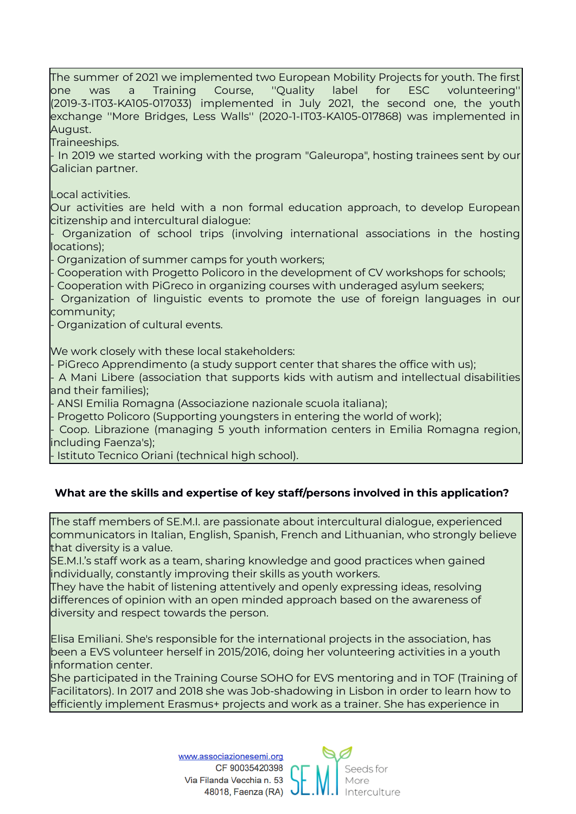The summer of 2021 we implemented two European Mobility Projects for youth. The first one was a Training Course, ''Quality label for ESC volunteering'' (2019-3-IT03-KA105-017033) implemented in July 2021, the second one, the youth exchange ''More Bridges, Less Walls'' (2020-1-IT03-KA105-017868) was implemented in August.

Traineeships.

- In 2019 we started working with the program "Galeuropa", hosting trainees sent by our Galician partner.

Local activities.

Our activities are held with a non formal education approach, to develop European citizenship and intercultural dialogue:

Organization of school trips (involving international associations in the hosting locations);

- Organization of summer camps for youth workers;

- Cooperation with Progetto Policoro in the development of CV workshops for schools; - Cooperation with PiGreco in organizing courses with underaged asylum seekers;

- Organization of linguistic events to promote the use of foreign languages in our community;

- Organization of cultural events.

We work closely with these local stakeholders:

- PiGreco Apprendimento (a study support center that shares the office with us);

- A Mani Libere (association that supports kids with autism and intellectual disabilities and their families);

- ANSI Emilia Romagna (Associazione nazionale scuola italiana);

- Progetto Policoro (Supporting youngsters in entering the world of work);

- Coop. Librazione (managing 5 youth information centers in Emilia Romagna region, including Faenza's);

- Istituto Tecnico Oriani (technical high school).

#### **What are the skills and expertise of key staff/persons involved in this application?**

The staff members of SE.M.I. are passionate about intercultural dialogue, experienced communicators in Italian, English, Spanish, French and Lithuanian, who strongly believe that diversity is a value.

SE.M.I.'s staff work as a team, sharing knowledge and good practices when gained individually, constantly improving their skills as youth workers.

They have the habit of listening attentively and openly expressing ideas, resolving differences of opinion with an open minded approach based on the awareness of diversity and respect towards the person.

Elisa Emiliani. She's responsible for the international projects in the association, has been a EVS volunteer herself in 2015/2016, doing her volunteering activities in a youth information center.

She participated in the Training Course SOHO for EVS mentoring and in TOF (Training of Facilitators). In 2017 and 2018 she was Job-shadowing in Lisbon in order to learn how to efficiently implement Erasmus+ projects and work as a trainer. She has experience in

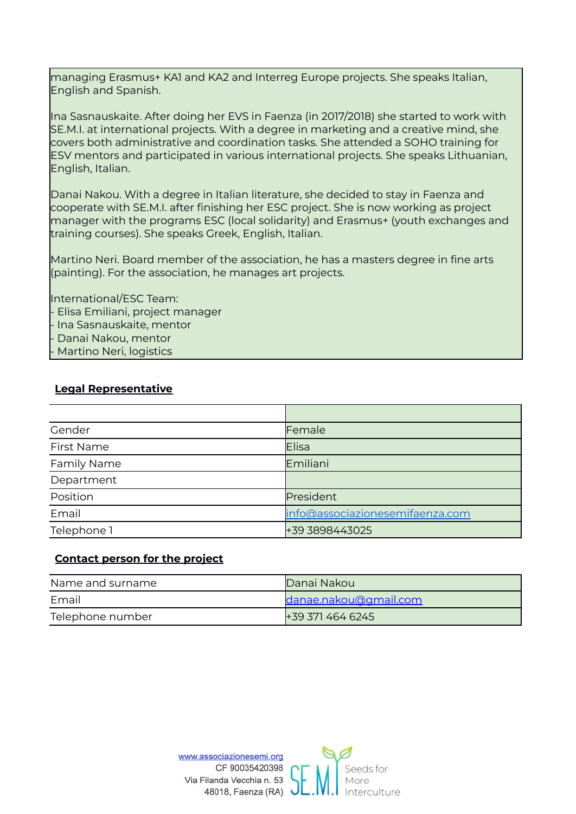managing Erasmus+ KA1 and KA2 and Interreg Europe projects. She speaks Italian, English and Spanish.

Ina Sasnauskaite. After doing her EVS in Faenza (in 2017/2018) she started to work with SE.M.I. at international projects. With a degree in marketing and a creative mind, she covers both administrative and coordination tasks. She attended a SOHO training for ESV mentors and participated in various international projects. She speaks Lithuanian, English, Italian.

Danai Nakou. With a degree in Italian literature, she decided to stay in Faenza and cooperate with SE.M.I. after finishing her ESC project. She is now working as project manager with the programs ESC (local solidarity) and Erasmus+ (youth exchanges and training courses). She speaks Greek, English, Italian.

Martino Neri. Board member of the association, he has a masters degree in fine arts (painting). For the association, he manages art projects.

International/ESC Team: - Elisa Emiliani, project manager - Ina Sasnauskaite, mentor - Danai Nakou, mentor - Martino Neri, logistics

#### **Legal Representative**

| Gender            | Female                          |
|-------------------|---------------------------------|
| <b>First Name</b> | Elisa                           |
| Family Name       | Emiliani                        |
| Department        |                                 |
| Position          | President                       |
| Email             | info@associazionesemifaenza.com |
| Telephone 1       | +39 3898443025                  |

## **Contact person for the project**

| Name and surname | Danai Nakoul          |  |
|------------------|-----------------------|--|
| Fmail            | danae.nakou@gmail.com |  |
| Telephone number | +39 371 464 6245      |  |

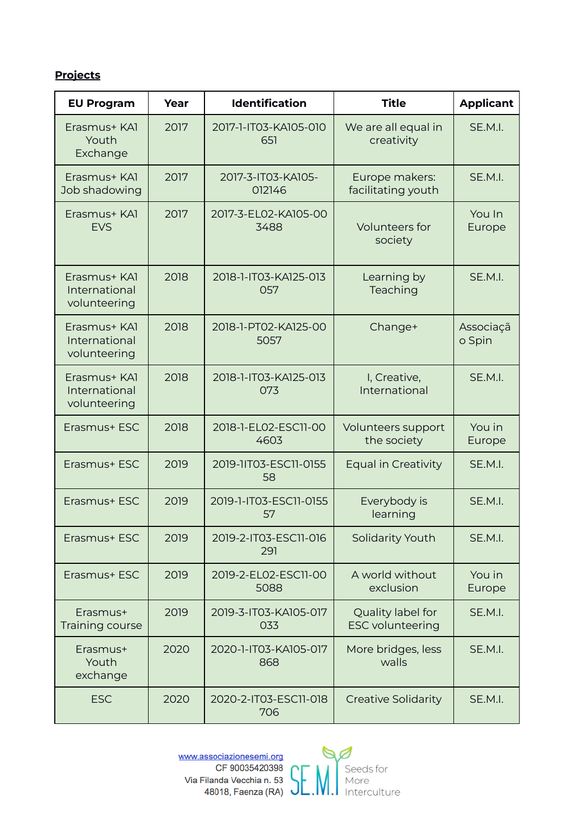## **Projects**

| <b>EU Program</b>                             | Year | <b>Identification</b>        | <b>Title</b>                                 | <b>Applicant</b>    |
|-----------------------------------------------|------|------------------------------|----------------------------------------------|---------------------|
| Erasmus+ KA1<br>Youth<br>Exchange             | 2017 | 2017-1-IT03-KA105-010<br>651 | We are all equal in<br>creativity            | SE.M.I.             |
| Erasmus+ KAI<br>Job shadowing                 | 2017 | 2017-3-IT03-KA105-<br>012146 | Europe makers:<br>facilitating youth         | SE.M.I.             |
| Erasmus+ KA1<br><b>EVS</b>                    | 2017 | 2017-3-EL02-KA105-00<br>3488 | Volunteers for<br>society                    | You In<br>Europe    |
| Erasmus+ KAI<br>International<br>volunteering | 2018 | 2018-1-IT03-KA125-013<br>057 | Learning by<br>Teaching                      | SE.M.I.             |
| Erasmus+ KA1<br>International<br>volunteering | 2018 | 2018-1-PT02-KA125-00<br>5057 | Change+                                      | Associaçã<br>o Spin |
| Erasmus+ KAI<br>International<br>volunteering | 2018 | 2018-1-IT03-KA125-013<br>073 | I, Creative,<br>International                | SE.M.I.             |
| Erasmus+ ESC                                  | 2018 | 2018-1-EL02-ESC11-00<br>4603 | Volunteers support<br>the society            | You in<br>Europe    |
| Erasmus+ ESC                                  | 2019 | 2019-11T03-ESC11-0155<br>58  | <b>Equal in Creativity</b>                   | SE.M.I.             |
| Erasmus+ ESC                                  | 2019 | 2019-1-IT03-ESC11-0155<br>57 | Everybody is<br>learning                     | SE.M.I.             |
| Erasmus+ ESC                                  | 2019 | 2019-2-IT03-ESC11-016<br>291 | Solidarity Youth                             | SE.M.I.             |
| Erasmus+ ESC                                  | 2019 | 2019-2-EL02-ESC11-00<br>5088 | A world without<br>exclusion                 | You in<br>Europe    |
| Erasmus+<br>Training course                   | 2019 | 2019-3-IT03-KA105-017<br>033 | Quality label for<br><b>ESC volunteering</b> | SE.M.I.             |
| Erasmus+<br>Youth<br>exchange                 | 2020 | 2020-1-IT03-KA105-017<br>868 | More bridges, less<br>walls                  | SE.M.I.             |
| <b>ESC</b>                                    | 2020 | 2020-2-IT03-ESC11-018<br>706 | <b>Creative Solidarity</b>                   | SE.M.I.             |



CF 90035420398 Via Filanda Vecchia n. 53